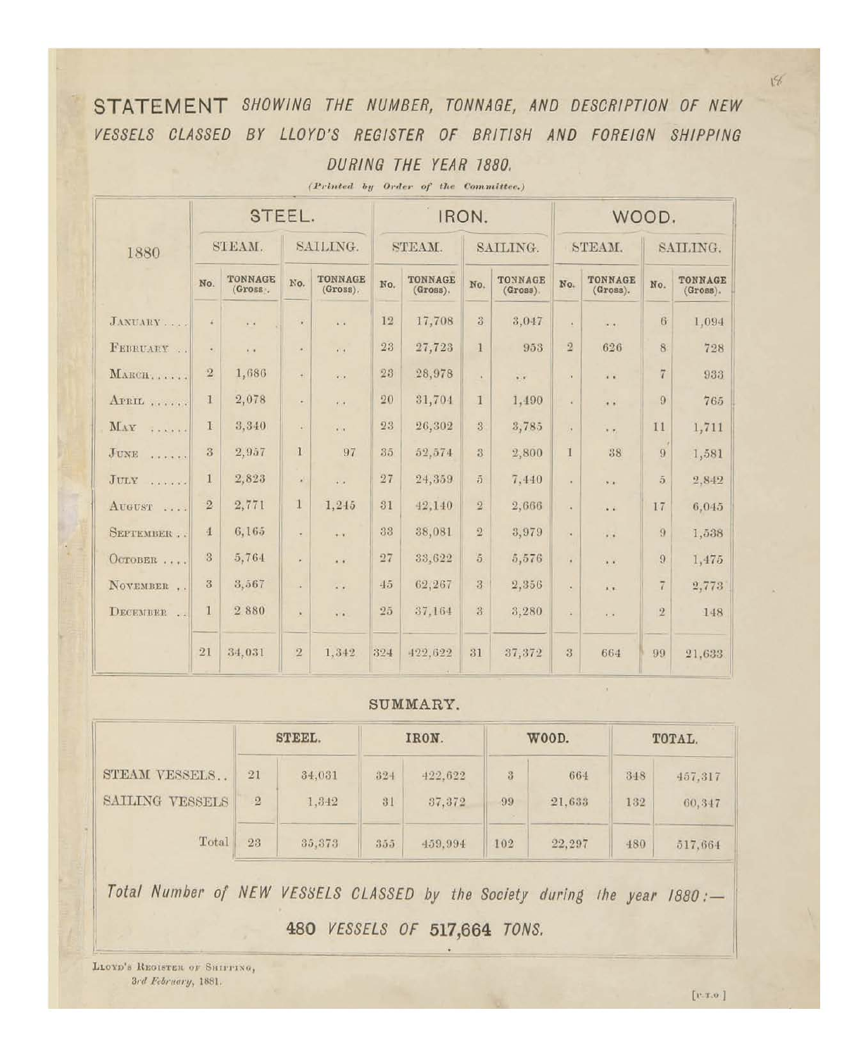STATEMENT SHOWING THE NUMBER, TONNAGE, AND DESCRIPTION OF NEW VESSELS CLASSED BY LLOYD'S REGISTER OF BRITISH AND FOREIGN SHIPPING DURING THE YEAR 1880.

|                                                                                                                                                                                                                                                                                                                                         | STEEL.         |                     |              |                      |        | IRON.                      |                         | WOOD.                                             |                                   |                         |                |                     |
|-----------------------------------------------------------------------------------------------------------------------------------------------------------------------------------------------------------------------------------------------------------------------------------------------------------------------------------------|----------------|---------------------|--------------|----------------------|--------|----------------------------|-------------------------|---------------------------------------------------|-----------------------------------|-------------------------|----------------|---------------------|
| 1880                                                                                                                                                                                                                                                                                                                                    |                | STEAM.              | SAILING.     |                      | STEAM. |                            | SAILING.                |                                                   |                                   | STEAM.                  | SAILING.       |                     |
|                                                                                                                                                                                                                                                                                                                                         | No.            | TONNAGE<br>(Gross.  | No.          | TONNAGE<br>(Gross).  | No.    | <b>TONNAGE</b><br>(Gross). | No.                     | TONNAGE<br>$(Gross)$ .                            | <b>TONNAGE</b><br>No.<br>(Gross). |                         | No.            | TONNAGE<br>(Gross). |
| JANUARY                                                                                                                                                                                                                                                                                                                                 | F              | $\alpha$ . $\alpha$ | $\bar{\tau}$ | $\mathbf{r}$ .       | 12     | 17,708                     | 3                       | 3,047                                             | $\alpha$                          | $\mathbf{A}$            | 6              | 1,094               |
| FEBRUARY                                                                                                                                                                                                                                                                                                                                | $\bullet$      | i.                  | $\sigma$     | $\overline{a}$       | 23     | 27,723                     | 1                       | 953                                               | $\overline{2}$                    | 626                     | 8              | 728                 |
| MARCH                                                                                                                                                                                                                                                                                                                                   | $\overline{2}$ | 1,686               | ÷            | $\sim$               | 23     | 28,978                     | ¥.                      | $\overline{\mathbf{r}}$ , $\overline{\mathbf{r}}$ | a.                                | $\ddot{\phantom{a}}$    | $\overline{7}$ | 933                 |
| APRIL                                                                                                                                                                                                                                                                                                                                   | 1              | 2,078               | a)           | $\frac{1}{2}$        | 20     | 31,704                     | 1                       | 1,490                                             | à.                                | $\ddot{\phantom{1}}$    | $\overline{9}$ | 765                 |
| MAY<br>$\frac{1}{2} \left( \begin{array}{ccc} 0 & 0 & 0 & 0 & 0 \\ 0 & 0 & 0 & 0 & 0 & 0 \\ 0 & 0 & 0 & 0 & 0 & 0 \\ 0 & 0 & 0 & 0 & 0 & 0 \\ 0 & 0 & 0 & 0 & 0 & 0 \\ 0 & 0 & 0 & 0 & 0 & 0 \\ 0 & 0 & 0 & 0 & 0 & 0 \\ 0 & 0 & 0 & 0 & 0 & 0 \\ 0 & 0 & 0 & 0 & 0 & 0 \\ 0 & 0 & 0 & 0 & 0 & 0 & 0 \\ 0 & 0 & 0 & 0 & 0 & 0 & 0 \\ 0$ | $\mathbf{I}$   | 3,340               | a            | $\mathcal{L}$ .      | 23     | 26,302                     | 3                       | 3,785                                             | ٠                                 | 7.7                     | 11             | 1,711               |
| JUNE<br><b>WINDOWS</b>                                                                                                                                                                                                                                                                                                                  | 3              | 2,957               | $\mathbf{1}$ | 97                   | 35     | 52,574                     | 3                       | 2,800                                             | Ï                                 | 38                      | 9              | 1,581               |
| JULY<br><b>CONTRACTOR</b>                                                                                                                                                                                                                                                                                                               | $\mathbf{1}$   | 2,823               | ¥,           | and in               | 27     | 24,359                     | $\bar{p}$               | 7,440                                             | ÷                                 | 300                     | $\overline{5}$ | 2,842               |
| AUGUST                                                                                                                                                                                                                                                                                                                                  | $\overline{2}$ | 2,771               | $\mathbf{1}$ | 1,245                | 31     | 42,140                     | $\sqrt{2}$              | 2,666                                             | ×.                                | $\mathbf{r}$            | 17             | 6,045               |
| SEPTEMBER                                                                                                                                                                                                                                                                                                                               | $\overline{4}$ | 6,165               | ¥            | $+ 10$               | 33     | 38,081                     | $\overline{2}$          | 3,979                                             | ä,                                | $\ddot{\phantom{a}}$    | $\overline{9}$ | 1,538               |
| OCTOBER                                                                                                                                                                                                                                                                                                                                 | 3              | 5,764               | ¥            | ¥.                   | 27     | 33,622                     | $\overline{5}$          | 5,576                                             | ä                                 | $\ddot{\phantom{0}}$    | $9$            | 1,475               |
| NOVEMBER                                                                                                                                                                                                                                                                                                                                | 3              | 3,567               | ¥            | 24                   | $+5$   | 62,267                     | 3                       | 2,356                                             | ¥.                                | $\overline{\mathbf{r}}$ | $\overline{7}$ | 2,773               |
| DECEMBER                                                                                                                                                                                                                                                                                                                                | $\mathbf{1}$   | 2880                | ×            | $\ddot{\phantom{1}}$ | 25     | 37,164                     | $\overline{\mathbf{3}}$ | 3,280                                             | ¥                                 | $\cdots$                | $\overline{2}$ | 148                 |
|                                                                                                                                                                                                                                                                                                                                         | 21             | 34,031              | $\bar{2}$    | 1,342                | 324    | 422,622                    | 31                      | 37,372                                            | $\overline{3}$                    | 664                     | 99             | 21.633              |

(Printed by Order of the Committee.)

## SUMMARY.

|                                  |                      | STEEL.          |              | IRON.             |                        | WOOD.         | TOTAL.     |                   |  |
|----------------------------------|----------------------|-----------------|--------------|-------------------|------------------------|---------------|------------|-------------------|--|
| STEAM VESSELS<br>SAILING VESSELS | 21<br>$\overline{2}$ | 34,031<br>1,342 | $32 +$<br>31 | 422,622<br>37,372 | 3<br>99<br><b>Sec.</b> | 664<br>21,633 | 348<br>132 | 457,317<br>60,347 |  |
| Total                            | 23                   | 35,373          | 355          | 459.994           | 102                    | 22,297        | 480        | 517.664           |  |

Total Number of NEW VESSELS CLASSED by the Society during the year 1880:-480 VESSELS OF 517,664 TONS.

LLOYD'S REGISTER OF SHIFFING, 3rd February, 1881.

 $\alpha$